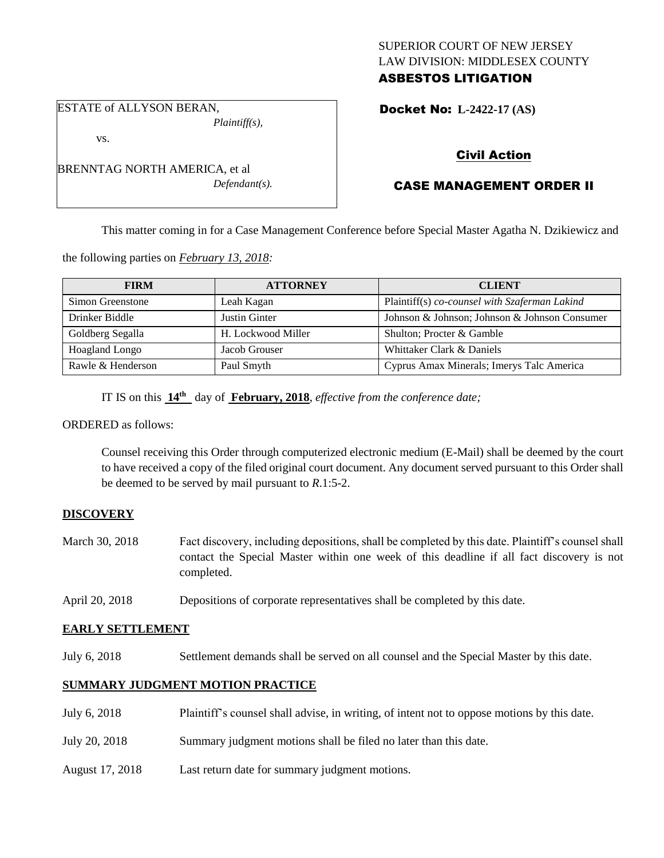## SUPERIOR COURT OF NEW JERSEY LAW DIVISION: MIDDLESEX COUNTY ASBESTOS LITIGATION

ESTATE of ALLYSON BERAN, *Plaintiff(s),*

vs.

BRENNTAG NORTH AMERICA, et al *Defendant(s).* Docket No: **L-2422-17 (AS)** 

# Civil Action

# CASE MANAGEMENT ORDER II

This matter coming in for a Case Management Conference before Special Master Agatha N. Dzikiewicz and

the following parties on *February 13, 2018:*

| <b>FIRM</b>       | <b>ATTORNEY</b>    | <b>CLIENT</b>                                 |
|-------------------|--------------------|-----------------------------------------------|
| Simon Greenstone  | Leah Kagan         | Plaintiff(s) co-counsel with Szaferman Lakind |
| Drinker Biddle    | Justin Ginter      | Johnson & Johnson; Johnson & Johnson Consumer |
| Goldberg Segalla  | H. Lockwood Miller | Shulton; Procter & Gamble                     |
| Hoagland Longo    | Jacob Grouser      | Whittaker Clark & Daniels                     |
| Rawle & Henderson | Paul Smyth         | Cyprus Amax Minerals; Imerys Talc America     |

IT IS on this **14th** day of **February, 2018**, *effective from the conference date;*

ORDERED as follows:

Counsel receiving this Order through computerized electronic medium (E-Mail) shall be deemed by the court to have received a copy of the filed original court document. Any document served pursuant to this Order shall be deemed to be served by mail pursuant to *R*.1:5-2.

## **DISCOVERY**

- March 30, 2018 Fact discovery, including depositions, shall be completed by this date. Plaintiff's counsel shall contact the Special Master within one week of this deadline if all fact discovery is not completed.
- April 20, 2018 Depositions of corporate representatives shall be completed by this date.

## **EARLY SETTLEMENT**

July 6, 2018 Settlement demands shall be served on all counsel and the Special Master by this date.

# **SUMMARY JUDGMENT MOTION PRACTICE**

- July 6, 2018 Plaintiff's counsel shall advise, in writing, of intent not to oppose motions by this date.
- July 20, 2018 Summary judgment motions shall be filed no later than this date.
- August 17, 2018 Last return date for summary judgment motions.